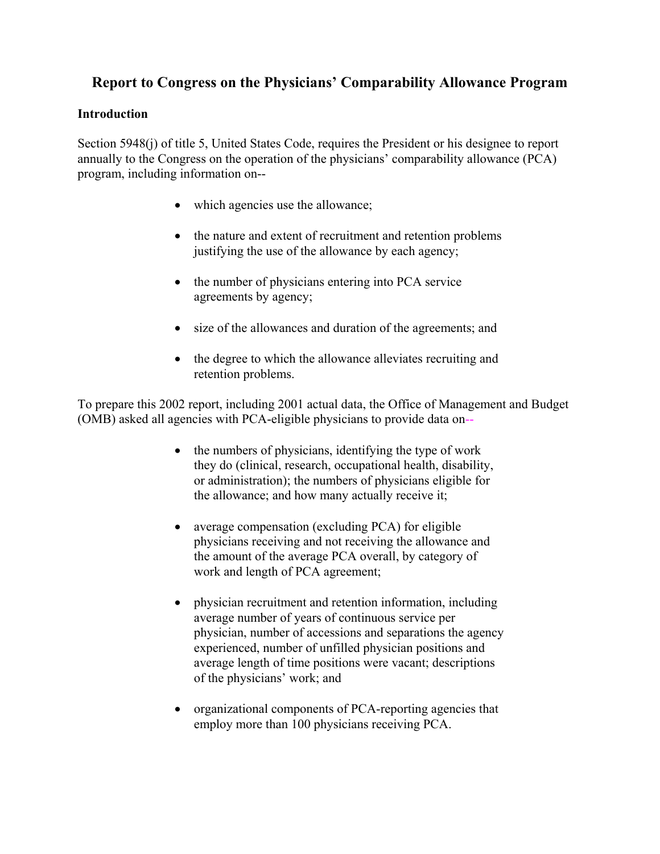## **Report to Congress on the Physicians' Comparability Allowance Program**

#### **Introduction**

Section 5948(j) of title 5, United States Code, requires the President or his designee to report annually to the Congress on the operation of the physicians' comparability allowance (PCA) program, including information on--

- which agencies use the allowance;
- the nature and extent of recruitment and retention problems justifying the use of the allowance by each agency;
- the number of physicians entering into PCA service agreements by agency;
- size of the allowances and duration of the agreements; and
- the degree to which the allowance alleviates recruiting and retention problems.

To prepare this 2002 report, including 2001 actual data, the Office of Management and Budget (OMB) asked all agencies with PCA-eligible physicians to provide data on--

- the numbers of physicians, identifying the type of work they do (clinical, research, occupational health, disability, or administration); the numbers of physicians eligible for the allowance; and how many actually receive it;
- average compensation (excluding PCA) for eligible physicians receiving and not receiving the allowance and the amount of the average PCA overall, by category of work and length of PCA agreement;
- physician recruitment and retention information, including average number of years of continuous service per physician, number of accessions and separations the agency experienced, number of unfilled physician positions and average length of time positions were vacant; descriptions of the physicians' work; and
- organizational components of PCA-reporting agencies that employ more than 100 physicians receiving PCA.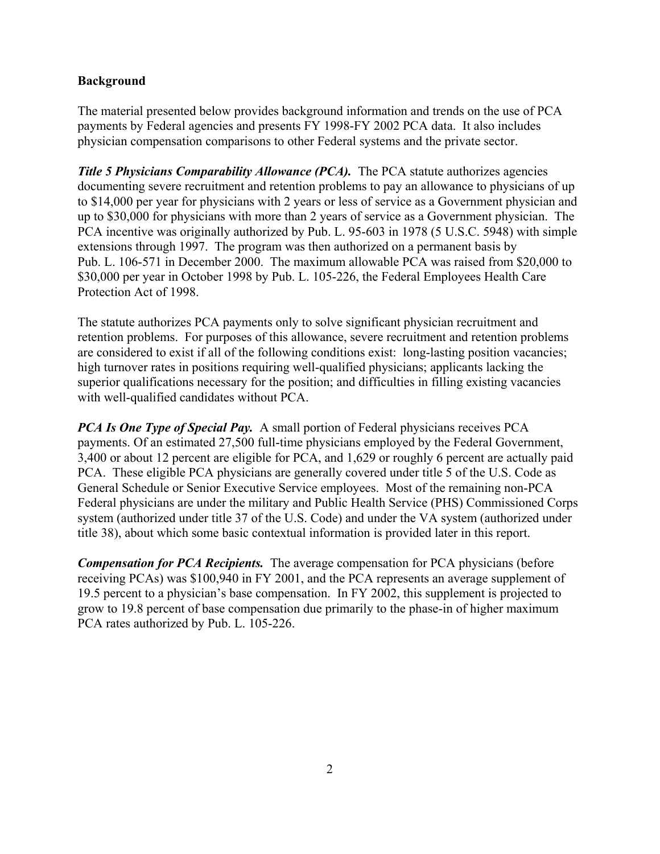#### **Background**

The material presented below provides background information and trends on the use of PCA payments by Federal agencies and presents FY 1998-FY 2002 PCA data. It also includes physician compensation comparisons to other Federal systems and the private sector.

*Title 5 Physicians Comparability Allowance (PCA).* The PCA statute authorizes agencies documenting severe recruitment and retention problems to pay an allowance to physicians of up to \$14,000 per year for physicians with 2 years or less of service as a Government physician and up to \$30,000 for physicians with more than 2 years of service as a Government physician. The PCA incentive was originally authorized by Pub. L. 95-603 in 1978 (5 U.S.C. 5948) with simple extensions through 1997. The program was then authorized on a permanent basis by Pub. L. 106-571 in December 2000. The maximum allowable PCA was raised from \$20,000 to \$30,000 per year in October 1998 by Pub. L. 105-226, the Federal Employees Health Care Protection Act of 1998.

The statute authorizes PCA payments only to solve significant physician recruitment and retention problems. For purposes of this allowance, severe recruitment and retention problems are considered to exist if all of the following conditions exist: long-lasting position vacancies; high turnover rates in positions requiring well-qualified physicians; applicants lacking the superior qualifications necessary for the position; and difficulties in filling existing vacancies with well-qualified candidates without PCA.

*PCA Is One Type of Special Pay.* A small portion of Federal physicians receives PCA payments. Of an estimated 27,500 full-time physicians employed by the Federal Government, 3,400 or about 12 percent are eligible for PCA, and 1,629 or roughly 6 percent are actually paid PCA. These eligible PCA physicians are generally covered under title 5 of the U.S. Code as General Schedule or Senior Executive Service employees. Most of the remaining non-PCA Federal physicians are under the military and Public Health Service (PHS) Commissioned Corps system (authorized under title 37 of the U.S. Code) and under the VA system (authorized under title 38), about which some basic contextual information is provided later in this report.

*Compensation for PCA Recipients.* The average compensation for PCA physicians (before receiving PCAs) was \$100,940 in FY 2001, and the PCA represents an average supplement of 19.5 percent to a physician's base compensation. In FY 2002, this supplement is projected to grow to 19.8 percent of base compensation due primarily to the phase-in of higher maximum PCA rates authorized by Pub. L. 105-226.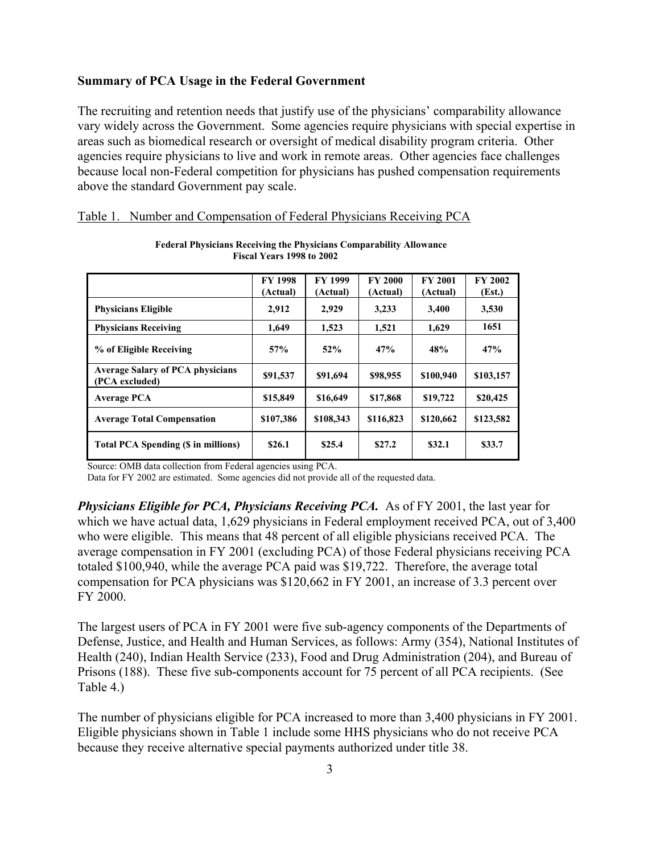#### **Summary of PCA Usage in the Federal Government**

The recruiting and retention needs that justify use of the physicians' comparability allowance vary widely across the Government. Some agencies require physicians with special expertise in areas such as biomedical research or oversight of medical disability program criteria. Other agencies require physicians to live and work in remote areas. Other agencies face challenges because local non-Federal competition for physicians has pushed compensation requirements above the standard Government pay scale.

|                                                           | <b>FY 1998</b><br>(Actual) | <b>FY 1999</b><br>(Actual) | <b>FY 2000</b><br>(Actual) | <b>FY 2001</b><br>(Actual) | <b>FY 2002</b><br>(Est.) |
|-----------------------------------------------------------|----------------------------|----------------------------|----------------------------|----------------------------|--------------------------|
| <b>Physicians Eligible</b>                                | 2,912                      | 2,929                      | 3,233                      | 3,400                      | 3,530                    |
| <b>Physicians Receiving</b>                               | 1,649                      | 1,523                      | 1,521                      | 1,629                      | 1651                     |
| % of Eligible Receiving                                   | 57%                        | 52%                        | 47%                        | 48%                        | 47%                      |
| <b>Average Salary of PCA physicians</b><br>(PCA excluded) | \$91,537                   | \$91,694                   | \$98,955                   | \$100,940                  | \$103,157                |
| <b>Average PCA</b>                                        | \$15,849                   | \$16,649                   | \$17,868                   | \$19,722                   | \$20,425                 |
| <b>Average Total Compensation</b>                         | \$107,386                  | \$108,343                  | \$116,823                  | \$120,662                  | \$123,582                |
| Total PCA Spending (\$ in millions)                       | \$26.1                     | \$25.4                     | \$27.2                     | \$32.1                     | \$33.7                   |

|  | Table 1. Number and Compensation of Federal Physicians Receiving PCA |  |
|--|----------------------------------------------------------------------|--|
|  |                                                                      |  |

**Federal Physicians Receiving the Physicians Comparability Allowance Fiscal Years 1998 to 2002** 

Source: OMB data collection from Federal agencies using PCA.

Data for FY 2002 are estimated. Some agencies did not provide all of the requested data.

*Physicians Eligible for PCA, Physicians Receiving PCA.* As of FY 2001, the last year for which we have actual data, 1,629 physicians in Federal employment received PCA, out of 3,400 who were eligible. This means that 48 percent of all eligible physicians received PCA. The average compensation in FY 2001 (excluding PCA) of those Federal physicians receiving PCA totaled \$100,940, while the average PCA paid was \$19,722. Therefore, the average total compensation for PCA physicians was \$120,662 in FY 2001, an increase of 3.3 percent over FY 2000.

The largest users of PCA in FY 2001 were five sub-agency components of the Departments of Defense, Justice, and Health and Human Services, as follows: Army (354), National Institutes of Health (240), Indian Health Service (233), Food and Drug Administration (204), and Bureau of Prisons (188). These five sub-components account for 75 percent of all PCA recipients. (See Table 4.)

The number of physicians eligible for PCA increased to more than 3,400 physicians in FY 2001. Eligible physicians shown in Table 1 include some HHS physicians who do not receive PCA because they receive alternative special payments authorized under title 38.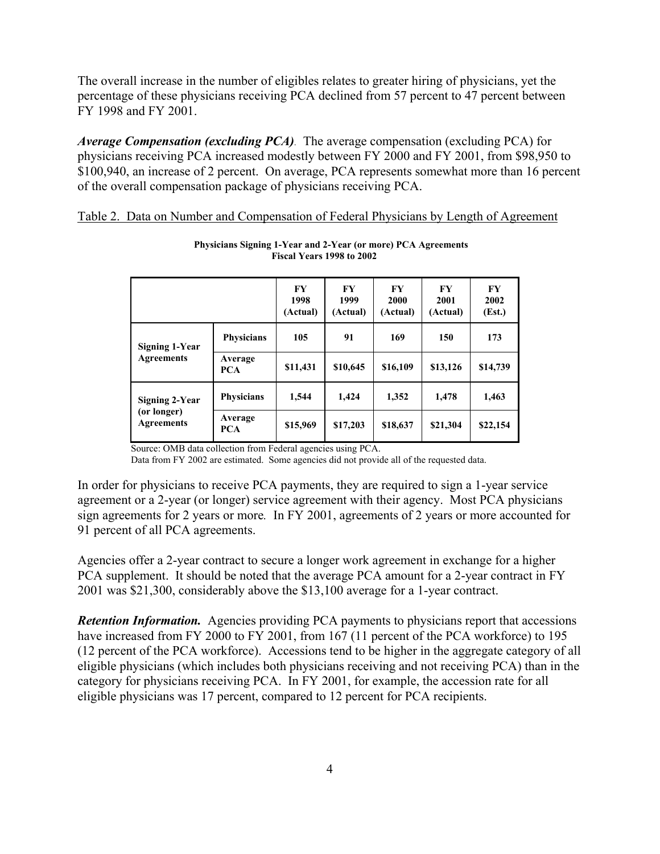The overall increase in the number of eligibles relates to greater hiring of physicians, yet the percentage of these physicians receiving PCA declined from 57 percent to 47 percent between FY 1998 and FY 2001.

*Average Compensation (excluding PCA).* The average compensation (excluding PCA) for physicians receiving PCA increased modestly between FY 2000 and FY 2001, from \$98,950 to \$100,940, an increase of 2 percent. On average, PCA represents somewhat more than 16 percent of the overall compensation package of physicians receiving PCA.

#### Table 2. Data on Number and Compensation of Federal Physicians by Length of Agreement

|                                                    |                       | $\bf{F}Y$<br>1998<br>(Actual) | FY<br>1999<br>(Actual) | FY<br>2000<br>(Actual) | FY<br>2001<br>(Actual) | <b>FY</b><br>2002<br>(Est.) |
|----------------------------------------------------|-----------------------|-------------------------------|------------------------|------------------------|------------------------|-----------------------------|
| <b>Signing 1-Year</b><br><b>Agreements</b>         | <b>Physicians</b>     | 105                           | 91                     | 169                    | 150                    | 173                         |
|                                                    | Average<br><b>PCA</b> | \$11,431                      | \$10,645               | \$16,109               | \$13,126               | \$14,739                    |
| Signing 2-Year<br>(or longer)<br><b>Agreements</b> | <b>Physicians</b>     | 1,544                         | 1,424                  | 1,352                  | 1,478                  | 1,463                       |
|                                                    | Average<br><b>PCA</b> | \$15,969                      | \$17,203               | \$18,637               | \$21,304               | \$22,154                    |

**Physicians Signing 1-Year and 2-Year (or more) PCA Agreements Fiscal Years 1998 to 2002** 

Source: OMB data collection from Federal agencies using PCA.

Data from FY 2002 are estimated. Some agencies did not provide all of the requested data.

In order for physicians to receive PCA payments, they are required to sign a 1-year service agreement or a 2-year (or longer) service agreement with their agency. Most PCA physicians sign agreements for 2 years or more*.* In FY 2001, agreements of 2 years or more accounted for 91 percent of all PCA agreements.

Agencies offer a 2-year contract to secure a longer work agreement in exchange for a higher PCA supplement. It should be noted that the average PCA amount for a 2-year contract in FY 2001 was \$21,300, considerably above the \$13,100 average for a 1-year contract.

*Retention Information.* Agencies providing PCA payments to physicians report that accessions have increased from FY 2000 to FY 2001, from 167 (11 percent of the PCA workforce) to 195 (12 percent of the PCA workforce). Accessions tend to be higher in the aggregate category of all eligible physicians (which includes both physicians receiving and not receiving PCA) than in the category for physicians receiving PCA. In FY 2001, for example, the accession rate for all eligible physicians was 17 percent, compared to 12 percent for PCA recipients.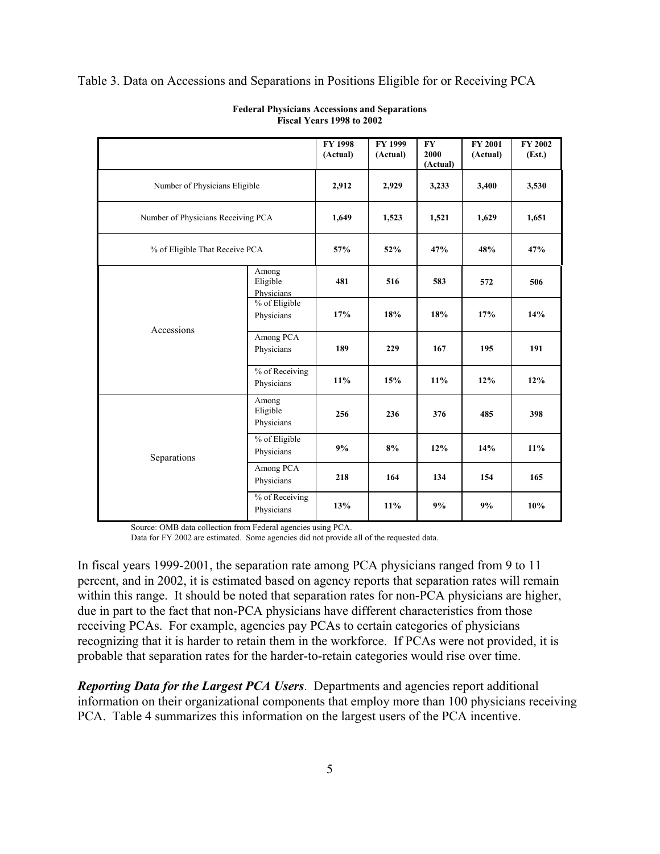| Table 3. Data on Accessions and Separations in Positions Eligible for or Receiving PCA |  |  |  |
|----------------------------------------------------------------------------------------|--|--|--|
|                                                                                        |  |  |  |

|                                    | <b>FY 1998</b><br>(Actual)      | FY 1999<br>(Actual) | <b>FY</b><br>2000<br>(Actual) | <b>FY 2001</b><br>(Actual) | FY 2002<br>(Est.) |       |
|------------------------------------|---------------------------------|---------------------|-------------------------------|----------------------------|-------------------|-------|
| Number of Physicians Eligible      | 2,912                           | 2,929               | 3,233                         | 3,400                      | 3,530             |       |
| Number of Physicians Receiving PCA |                                 | 1,649               | 1,523                         | 1,521                      | 1,629             | 1,651 |
| % of Eligible That Receive PCA     |                                 | 57%                 | 52%                           | 47%                        | 48%               | 47%   |
| Accessions                         | Among<br>Eligible<br>Physicians | 481                 | 516<br>583                    |                            | 572               | 506   |
|                                    | % of Eligible<br>Physicians     | 17%                 | 18%                           | 18%                        | 17%               | 14%   |
|                                    | Among PCA<br>Physicians         | 189                 | 229                           | 167                        | 195               | 191   |
|                                    | % of Receiving<br>Physicians    | 11%                 | 15%                           | 11%                        | 12%               | 12%   |
|                                    | Among<br>Eligible<br>Physicians | 256                 | 236                           | 376                        | 485               | 398   |
| Separations                        | % of Eligible<br>Physicians     | 9%                  | 8%                            | 12%                        | 14%               | 11%   |
|                                    | Among PCA<br>Physicians         | 218                 | 164                           | 134                        | 154               | 165   |
|                                    | % of Receiving<br>Physicians    | 13%                 | 11%                           | 9%                         | 9%                | 10%   |

#### **Federal Physicians Accessions and Separations Fiscal Years 1998 to 2002**

Source: OMB data collection from Federal agencies using PCA.

Data for FY 2002 are estimated. Some agencies did not provide all of the requested data.

In fiscal years 1999-2001, the separation rate among PCA physicians ranged from 9 to 11 percent, and in 2002, it is estimated based on agency reports that separation rates will remain within this range. It should be noted that separation rates for non-PCA physicians are higher, due in part to the fact that non-PCA physicians have different characteristics from those receiving PCAs. For example, agencies pay PCAs to certain categories of physicians recognizing that it is harder to retain them in the workforce. If PCAs were not provided, it is probable that separation rates for the harder-to-retain categories would rise over time.

*Reporting Data for the Largest PCA Users*. Departments and agencies report additional information on their organizational components that employ more than 100 physicians receiving PCA. Table 4 summarizes this information on the largest users of the PCA incentive.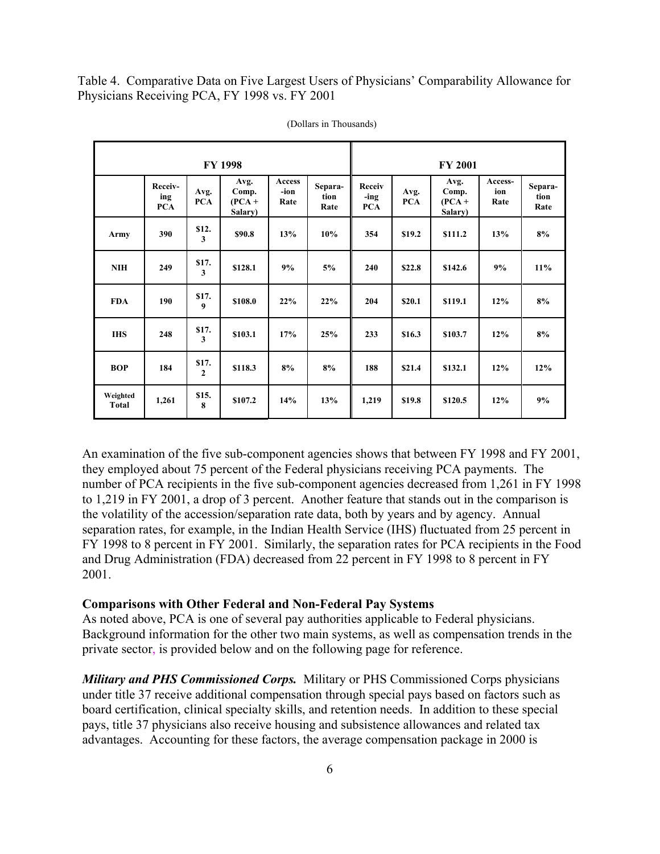Table 4. Comparative Data on Five Largest Users of Physicians' Comparability Allowance for Physicians Receiving PCA, FY 1998 vs. FY 2001

| <b>FY 1998</b>           |                              |                         |                                      |                        | <b>FY 2001</b>          |                              |                    |                                      |                        |                         |
|--------------------------|------------------------------|-------------------------|--------------------------------------|------------------------|-------------------------|------------------------------|--------------------|--------------------------------------|------------------------|-------------------------|
|                          | Receiv-<br>ing<br><b>PCA</b> | Avg.<br><b>PCA</b>      | Avg.<br>Comp.<br>$(PCA +$<br>Salary) | Access<br>-ion<br>Rate | Separa-<br>tion<br>Rate | Receiv<br>-ing<br><b>PCA</b> | Avg.<br><b>PCA</b> | Avg.<br>Comp.<br>$(PCA +$<br>Salary) | Access-<br>ion<br>Rate | Separa-<br>tion<br>Rate |
| Army                     | 390                          | \$12.<br>3              | \$90.8                               | 13%                    | 10%                     | 354                          | \$19.2             | \$111.2                              | 13%                    | 8%                      |
| <b>NIH</b>               | 249                          | \$17.<br>3              | \$128.1                              | 9%                     | 5%                      | 240                          | \$22.8             | \$142.6                              | 9%                     | 11%                     |
| <b>FDA</b>               | 190                          | \$17.<br>9              | \$108.0                              | 22%                    | 22%                     | 204                          | \$20.1             | \$119.1                              | 12%                    | 8%                      |
| <b>IHS</b>               | 248                          | \$17.<br>3              | \$103.1                              | 17%                    | 25%                     | 233                          | \$16.3             | \$103.7                              | 12%                    | 8%                      |
| <b>BOP</b>               | 184                          | \$17.<br>$\overline{2}$ | \$118.3                              | 8%                     | 8%                      | 188                          | \$21.4             | \$132.1                              | 12%                    | 12%                     |
| Weighted<br><b>Total</b> | 1,261                        | \$15.<br>8              | \$107.2                              | 14%                    | 13%                     | 1,219                        | \$19.8             | \$120.5                              | 12%                    | 9%                      |

(Dollars in Thousands)

An examination of the five sub-component agencies shows that between FY 1998 and FY 2001, they employed about 75 percent of the Federal physicians receiving PCA payments. The number of PCA recipients in the five sub-component agencies decreased from 1,261 in FY 1998 to 1,219 in FY 2001, a drop of 3 percent. Another feature that stands out in the comparison is the volatility of the accession/separation rate data, both by years and by agency. Annual separation rates, for example, in the Indian Health Service (IHS) fluctuated from 25 percent in FY 1998 to 8 percent in FY 2001. Similarly, the separation rates for PCA recipients in the Food and Drug Administration (FDA) decreased from 22 percent in FY 1998 to 8 percent in FY 2001.

#### **Comparisons with Other Federal and Non-Federal Pay Systems**

As noted above, PCA is one of several pay authorities applicable to Federal physicians. Background information for the other two main systems, as well as compensation trends in the private sector, is provided below and on the following page for reference.

*Military and PHS Commissioned Corps.* Military or PHS Commissioned Corps physicians under title 37 receive additional compensation through special pays based on factors such as board certification, clinical specialty skills, and retention needs. In addition to these special pays, title 37 physicians also receive housing and subsistence allowances and related tax advantages. Accounting for these factors, the average compensation package in 2000 is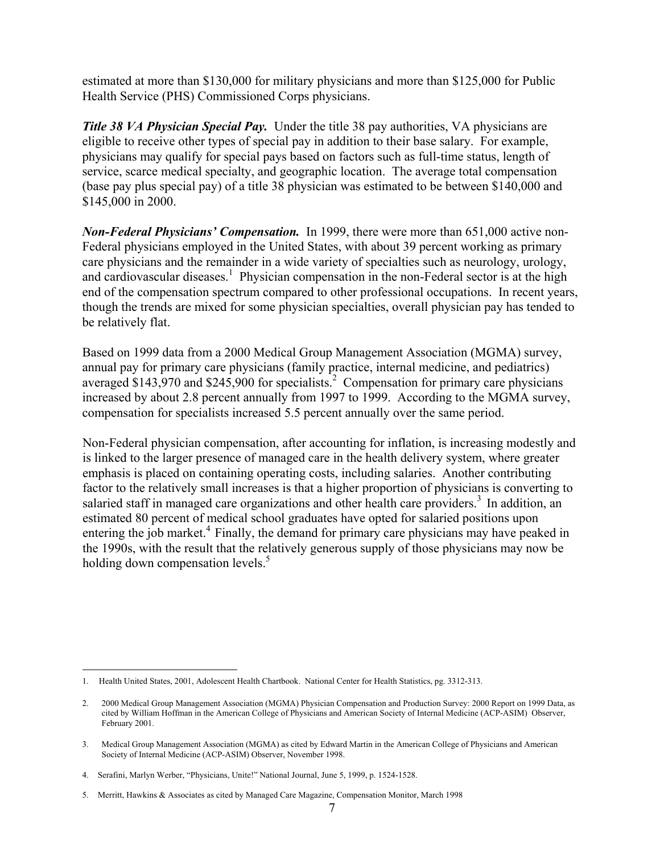estimated at more than \$130,000 for military physicians and more than \$125,000 for Public Health Service (PHS) Commissioned Corps physicians.

*Title 38 VA Physician Special Pay.* Under the title 38 pay authorities, VA physicians are eligible to receive other types of special pay in addition to their base salary. For example, physicians may qualify for special pays based on factors such as full-time status, length of service, scarce medical specialty, and geographic location. The average total compensation (base pay plus special pay) of a title 38 physician was estimated to be between \$140,000 and \$145,000 in 2000.

*Non-Federal Physicians' Compensation.* In 1999, there were more than 651,000 active non-Federal physicians employed in the United States, with about 39 percent working as primary care physicians and the remainder in a wide variety of specialties such as neurology, urology, and cardiovascular diseases.<sup>[1](#page-6-0)</sup> Physician compensation in the non-Federal sector is at the high end of the compensation spectrum compared to other professional occupations. In recent years, though the trends are mixed for some physician specialties, overall physician pay has tended to be relatively flat.

Based on 1999 data from a 2000 Medical Group Management Association (MGMA) survey, annual pay for primary care physicians (family practice, internal medicine, and pediatrics) averaged \$143,970 and \$[2](#page-6-1)45,900 for specialists.<sup>2</sup> Compensation for primary care physicians increased by about 2.8 percent annually from 1997 to 1999. According to the MGMA survey, compensation for specialists increased 5.5 percent annually over the same period.

Non-Federal physician compensation, after accounting for inflation, is increasing modestly and is linked to the larger presence of managed care in the health delivery system, where greater emphasis is placed on containing operating costs, including salaries. Another contributing factor to the relatively small increases is that a higher proportion of physicians is converting to salaried staff in managed care organizations and other health care providers.<sup>3</sup> In addition, an estimated 80 percent of medical school graduates have opted for salaried positions upon entering the job market.<sup>4</sup> Finally, the demand for primary care physicians may have peaked in the 1990s, with the result that the relatively generous supply of those physicians may now be holding down compensation levels.<sup>5</sup>

1

<span id="page-6-0"></span><sup>1.</sup> Health United States, 2001, Adolescent Health Chartbook. National Center for Health Statistics, pg. 3312-313.

<span id="page-6-1"></span><sup>2.</sup> 2000 Medical Group Management Association (MGMA) Physician Compensation and Production Survey: 2000 Report on 1999 Data, as cited by William Hoffman in the American College of Physicians and American Society of Internal Medicine (ACP-ASIM) Observer, February 2001.

<span id="page-6-2"></span><sup>3.</sup> Medical Group Management Association (MGMA) as cited by Edward Martin in the American College of Physicians and American Society of Internal Medicine (ACP-ASIM) Observer, November 1998.

<span id="page-6-3"></span><sup>4.</sup> Serafini, Marlyn Werber, "Physicians, Unite!" National Journal, June 5, 1999, p. 1524-1528.

<span id="page-6-4"></span><sup>5.</sup> Merritt, Hawkins & Associates as cited by Managed Care Magazine, Compensation Monitor, March 1998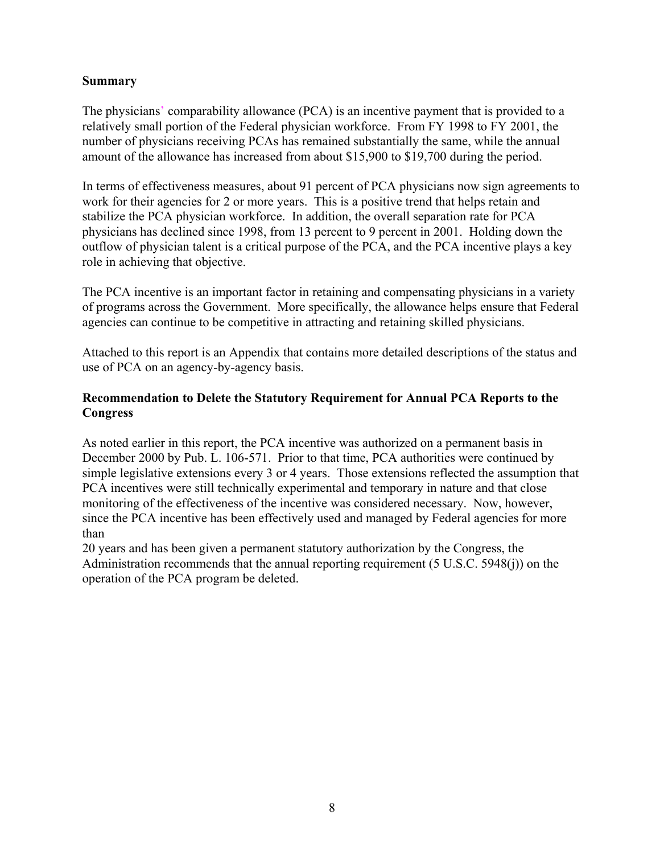### **Summary**

The physicians' comparability allowance (PCA) is an incentive payment that is provided to a relatively small portion of the Federal physician workforce. From FY 1998 to FY 2001, the number of physicians receiving PCAs has remained substantially the same, while the annual amount of the allowance has increased from about \$15,900 to \$19,700 during the period.

In terms of effectiveness measures, about 91 percent of PCA physicians now sign agreements to work for their agencies for 2 or more years. This is a positive trend that helps retain and stabilize the PCA physician workforce. In addition, the overall separation rate for PCA physicians has declined since 1998, from 13 percent to 9 percent in 2001. Holding down the outflow of physician talent is a critical purpose of the PCA, and the PCA incentive plays a key role in achieving that objective.

The PCA incentive is an important factor in retaining and compensating physicians in a variety of programs across the Government. More specifically, the allowance helps ensure that Federal agencies can continue to be competitive in attracting and retaining skilled physicians.

Attached to this report is an Appendix that contains more detailed descriptions of the status and use of PCA on an agency-by-agency basis.

### **Recommendation to Delete the Statutory Requirement for Annual PCA Reports to the Congress**

As noted earlier in this report, the PCA incentive was authorized on a permanent basis in December 2000 by Pub. L. 106-571. Prior to that time, PCA authorities were continued by simple legislative extensions every 3 or 4 years. Those extensions reflected the assumption that PCA incentives were still technically experimental and temporary in nature and that close monitoring of the effectiveness of the incentive was considered necessary. Now, however, since the PCA incentive has been effectively used and managed by Federal agencies for more than

20 years and has been given a permanent statutory authorization by the Congress, the Administration recommends that the annual reporting requirement (5 U.S.C. 5948(j)) on the operation of the PCA program be deleted.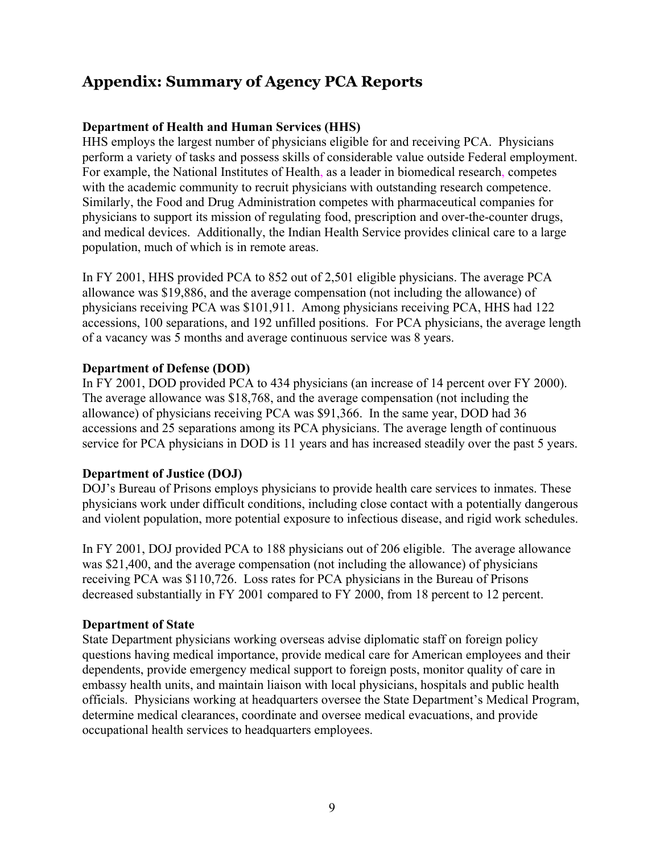# **Appendix: Summary of Agency PCA Reports**

## **Department of Health and Human Services (HHS)**

HHS employs the largest number of physicians eligible for and receiving PCA. Physicians perform a variety of tasks and possess skills of considerable value outside Federal employment. For example, the National Institutes of Health, as a leader in biomedical research, competes with the academic community to recruit physicians with outstanding research competence. Similarly, the Food and Drug Administration competes with pharmaceutical companies for physicians to support its mission of regulating food, prescription and over-the-counter drugs, and medical devices. Additionally, the Indian Health Service provides clinical care to a large population, much of which is in remote areas.

In FY 2001, HHS provided PCA to 852 out of 2,501 eligible physicians. The average PCA allowance was \$19,886, and the average compensation (not including the allowance) of physicians receiving PCA was \$101,911. Among physicians receiving PCA, HHS had 122 accessions, 100 separations, and 192 unfilled positions. For PCA physicians, the average length of a vacancy was 5 months and average continuous service was 8 years.

## **Department of Defense (DOD)**

In FY 2001, DOD provided PCA to 434 physicians (an increase of 14 percent over FY 2000). The average allowance was \$18,768, and the average compensation (not including the allowance) of physicians receiving PCA was \$91,366. In the same year, DOD had 36 accessions and 25 separations among its PCA physicians. The average length of continuous service for PCA physicians in DOD is 11 years and has increased steadily over the past 5 years.

### **Department of Justice (DOJ)**

DOJ's Bureau of Prisons employs physicians to provide health care services to inmates. These physicians work under difficult conditions, including close contact with a potentially dangerous and violent population, more potential exposure to infectious disease, and rigid work schedules.

In FY 2001, DOJ provided PCA to 188 physicians out of 206 eligible. The average allowance was \$21,400, and the average compensation (not including the allowance) of physicians receiving PCA was \$110,726. Loss rates for PCA physicians in the Bureau of Prisons decreased substantially in FY 2001 compared to FY 2000, from 18 percent to 12 percent.

### **Department of State**

State Department physicians working overseas advise diplomatic staff on foreign policy questions having medical importance, provide medical care for American employees and their dependents, provide emergency medical support to foreign posts, monitor quality of care in embassy health units, and maintain liaison with local physicians, hospitals and public health officials. Physicians working at headquarters oversee the State Department's Medical Program, determine medical clearances, coordinate and oversee medical evacuations, and provide occupational health services to headquarters employees.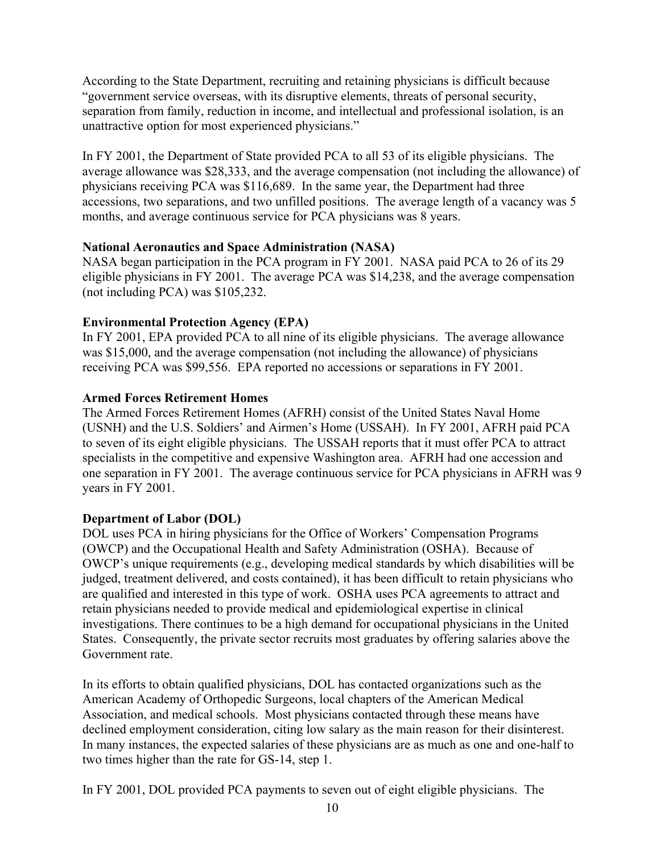According to the State Department, recruiting and retaining physicians is difficult because "government service overseas, with its disruptive elements, threats of personal security, separation from family, reduction in income, and intellectual and professional isolation, is an unattractive option for most experienced physicians."

In FY 2001, the Department of State provided PCA to all 53 of its eligible physicians. The average allowance was \$28,333, and the average compensation (not including the allowance) of physicians receiving PCA was \$116,689. In the same year, the Department had three accessions, two separations, and two unfilled positions. The average length of a vacancy was 5 months, and average continuous service for PCA physicians was 8 years.

### **National Aeronautics and Space Administration (NASA)**

NASA began participation in the PCA program in FY 2001. NASA paid PCA to 26 of its 29 eligible physicians in FY 2001. The average PCA was \$14,238, and the average compensation (not including PCA) was \$105,232.

### **Environmental Protection Agency (EPA)**

In FY 2001, EPA provided PCA to all nine of its eligible physicians. The average allowance was \$15,000, and the average compensation (not including the allowance) of physicians receiving PCA was \$99,556. EPA reported no accessions or separations in FY 2001.

#### **Armed Forces Retirement Homes**

The Armed Forces Retirement Homes (AFRH) consist of the United States Naval Home (USNH) and the U.S. Soldiers' and Airmen's Home (USSAH). In FY 2001, AFRH paid PCA to seven of its eight eligible physicians. The USSAH reports that it must offer PCA to attract specialists in the competitive and expensive Washington area.AFRH had one accession and one separation in FY 2001. The average continuous service for PCA physicians in AFRH was 9 years in FY 2001.

### **Department of Labor (DOL)**

DOL uses PCA in hiring physicians for the Office of Workers' Compensation Programs (OWCP) and the Occupational Health and Safety Administration (OSHA). Because of OWCP's unique requirements (e.g., developing medical standards by which disabilities will be judged, treatment delivered, and costs contained), it has been difficult to retain physicians who are qualified and interested in this type of work. OSHA uses PCA agreements to attract and retain physicians needed to provide medical and epidemiological expertise in clinical investigations. There continues to be a high demand for occupational physicians in the United States. Consequently, the private sector recruits most graduates by offering salaries above the Government rate.

In its efforts to obtain qualified physicians, DOL has contacted organizations such as the American Academy of Orthopedic Surgeons, local chapters of the American Medical Association, and medical schools. Most physicians contacted through these means have declined employment consideration, citing low salary as the main reason for their disinterest. In many instances, the expected salaries of these physicians are as much as one and one-half to two times higher than the rate for GS-14, step 1.

In FY 2001, DOL provided PCA payments to seven out of eight eligible physicians. The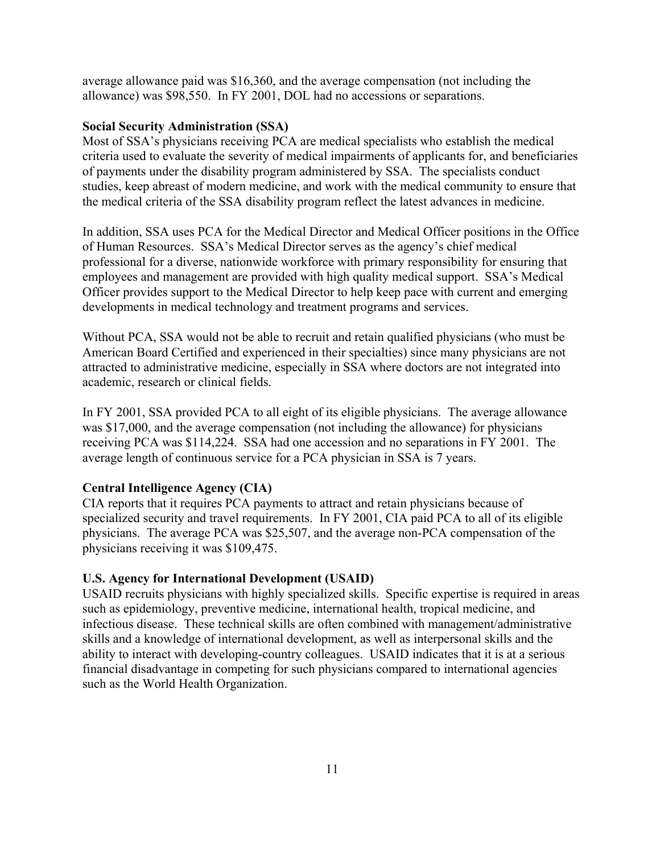average allowance paid was \$16,360, and the average compensation (not including the allowance) was \$98,550. In FY 2001, DOL had no accessions or separations.

#### **Social Security Administration (SSA)**

Most of SSA's physicians receiving PCA are medical specialists who establish the medical criteria used to evaluate the severity of medical impairments of applicants for, and beneficiaries of payments under the disability program administered by SSA. The specialists conduct studies, keep abreast of modern medicine, and work with the medical community to ensure that the medical criteria of the SSA disability program reflect the latest advances in medicine.

In addition, SSA uses PCA for the Medical Director and Medical Officer positions in the Office of Human Resources. SSA's Medical Director serves as the agency's chief medical professional for a diverse, nationwide workforce with primary responsibility for ensuring that employees and management are provided with high quality medical support. SSA's Medical Officer provides support to the Medical Director to help keep pace with current and emerging developments in medical technology and treatment programs and services.

Without PCA, SSA would not be able to recruit and retain qualified physicians (who must be American Board Certified and experienced in their specialties) since many physicians are not attracted to administrative medicine, especially in SSA where doctors are not integrated into academic, research or clinical fields.

In FY 2001, SSA provided PCA to all eight of its eligible physicians. The average allowance was \$17,000, and the average compensation (not including the allowance) for physicians receiving PCA was \$114,224. SSA had one accession and no separations in FY 2001. The average length of continuous service for a PCA physician in SSA is 7 years.

#### **Central Intelligence Agency (CIA)**

CIA reports that it requires PCA payments to attract and retain physicians because of specialized security and travel requirements. In FY 2001, CIA paid PCA to all of its eligible physicians. The average PCA was \$25,507, and the average non-PCA compensation of the physicians receiving it was \$109,475.

#### **U.S. Agency for International Development (USAID)**

USAID recruits physicians with highly specialized skills. Specific expertise is required in areas such as epidemiology, preventive medicine, international health, tropical medicine, and infectious disease. These technical skills are often combined with management/administrative skills and a knowledge of international development, as well as interpersonal skills and the ability to interact with developing-country colleagues. USAID indicates that it is at a serious financial disadvantage in competing for such physicians compared to international agencies such as the World Health Organization.